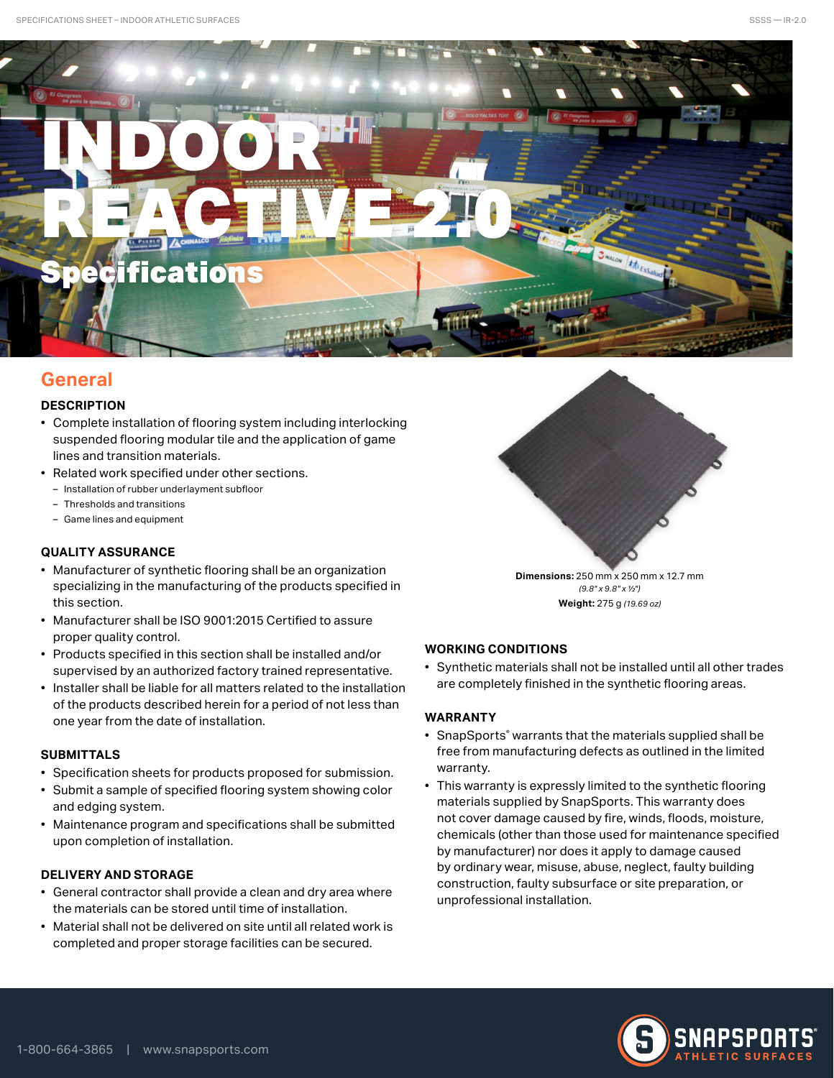

# **General**

## **DESCRIPTION**

- Complete installation of flooring system including interlocking suspended flooring modular tile and the application of game lines and transition materials.
- Related work specified under other sections.
	- Installation of rubber underlayment subfloor
	- Thresholds and transitions
	- Game lines and equipment

## **QUALITY ASSURANCE**

- Manufacturer of synthetic flooring shall be an organization specializing in the manufacturing of the products specified in this section.
- Manufacturer shall be ISO 9001:2015 Certified to assure proper quality control.
- Products specified in this section shall be installed and/or supervised by an authorized factory trained representative.
- Installer shall be liable for all matters related to the installation of the products described herein for a period of not less than one year from the date of installation.

## **SUBMITTALS**

- Specification sheets for products proposed for submission.
- Submit a sample of specified flooring system showing color and edging system.
- Maintenance program and specifications shall be submitted upon completion of installation.

## **DELIVERY AND STORAGE**

- General contractor shall provide a clean and dry area where the materials can be stored until time of installation.
- Material shall not be delivered on site until all related work is completed and proper storage facilities can be secured.

**Dimensions:** 250 mm x 250 mm x 12.7 mm *(9.8" x 9.8" x 1/2")* **Weight:** 275 g *(19.69 oz)*

## **WORKING CONDITIONS**

• Synthetic materials shall not be installed until all other trades are completely finished in the synthetic flooring areas.

## **WARRANTY**

- SnapSports® warrants that the materials supplied shall be free from manufacturing defects as outlined in the limited warranty.
- This warranty is expressly limited to the synthetic flooring materials supplied by SnapSports. This warranty does not cover damage caused by fire, winds, floods, moisture, chemicals (other than those used for maintenance specified by manufacturer) nor does it apply to damage caused by ordinary wear, misuse, abuse, neglect, faulty building construction, faulty subsurface or site preparation, or unprofessional installation.